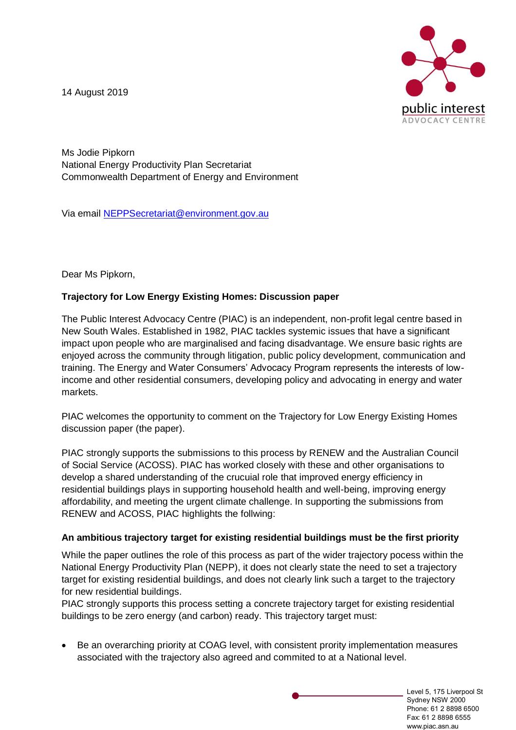14 August 2019



Ms Jodie Pipkorn National Energy Productivity Plan Secretariat Commonwealth Department of Energy and Environment

Via email [NEPPSecretariat@environment.gov.au](mailto:NEPPSecretariat@environment.gov.au)

Dear Ms Pipkorn,

# **Trajectory for Low Energy Existing Homes: Discussion paper**

The Public Interest Advocacy Centre (PIAC) is an independent, non-profit legal centre based in New South Wales. Established in 1982, PIAC tackles systemic issues that have a significant impact upon people who are marginalised and facing disadvantage. We ensure basic rights are enjoyed across the community through litigation, public policy development, communication and training. The Energy and Water Consumers' Advocacy Program represents the interests of lowincome and other residential consumers, developing policy and advocating in energy and water markets.

PIAC welcomes the opportunity to comment on the Trajectory for Low Energy Existing Homes discussion paper (the paper).

PIAC strongly supports the submissions to this process by RENEW and the Australian Council of Social Service (ACOSS). PIAC has worked closely with these and other organisations to develop a shared understanding of the crucuial role that improved energy efficiency in residential buildings plays in supporting household health and well-being, improving energy affordability, and meeting the urgent climate challenge. In supporting the submissions from RENEW and ACOSS, PIAC highlights the follwing:

#### **An ambitious trajectory target for existing residential buildings must be the first priority**

While the paper outlines the role of this process as part of the wider trajectory pocess within the National Energy Productivity Plan (NEPP), it does not clearly state the need to set a trajectory target for existing residential buildings, and does not clearly link such a target to the trajectory for new residential buildings.

PIAC strongly supports this process setting a concrete trajectory target for existing residential buildings to be zero energy (and carbon) ready. This trajectory target must:

• Be an overarching priority at COAG level, with consistent prority implementation measures associated with the trajectory also agreed and commited to at a National level.

> Level 5, 175 Liverpool St Sydney NSW 2000 Phone: 61 2 8898 6500 Fax: 61 2 8898 6555 www.piac.asn.au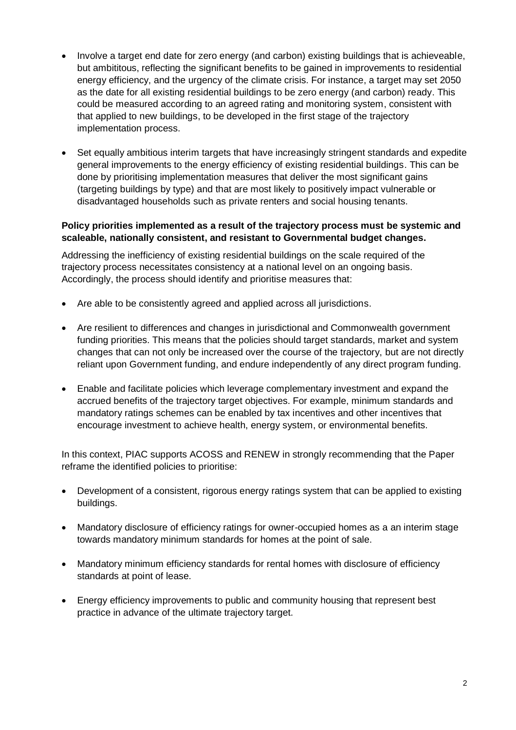- Involve a target end date for zero energy (and carbon) existing buildings that is achieveable, but ambititous, reflecting the significant benefits to be gained in improvements to residential energy efficiency, and the urgency of the climate crisis. For instance, a target may set 2050 as the date for all existing residential buildings to be zero energy (and carbon) ready. This could be measured according to an agreed rating and monitoring system, consistent with that applied to new buildings, to be developed in the first stage of the trajectory implementation process.
- Set equally ambitious interim targets that have increasingly stringent standards and expedite general improvements to the energy efficiency of existing residential buildings. This can be done by prioritising implementation measures that deliver the most significant gains (targeting buildings by type) and that are most likely to positively impact vulnerable or disadvantaged households such as private renters and social housing tenants.

## **Policy priorities implemented as a result of the trajectory process must be systemic and scaleable, nationally consistent, and resistant to Governmental budget changes.**

Addressing the inefficiency of existing residential buildings on the scale required of the trajectory process necessitates consistency at a national level on an ongoing basis. Accordingly, the process should identify and prioritise measures that:

- Are able to be consistently agreed and applied across all jurisdictions.
- Are resilient to differences and changes in jurisdictional and Commonwealth government funding priorities. This means that the policies should target standards, market and system changes that can not only be increased over the course of the trajectory, but are not directly reliant upon Government funding, and endure independently of any direct program funding.
- Enable and facilitate policies which leverage complementary investment and expand the accrued benefits of the trajectory target objectives. For example, minimum standards and mandatory ratings schemes can be enabled by tax incentives and other incentives that encourage investment to achieve health, energy system, or environmental benefits.

In this context, PIAC supports ACOSS and RENEW in strongly recommending that the Paper reframe the identified policies to prioritise:

- Development of a consistent, rigorous energy ratings system that can be applied to existing buildings.
- Mandatory disclosure of efficiency ratings for owner-occupied homes as a an interim stage towards mandatory minimum standards for homes at the point of sale.
- Mandatory minimum efficiency standards for rental homes with disclosure of efficiency standards at point of lease.
- Energy efficiency improvements to public and community housing that represent best practice in advance of the ultimate trajectory target.